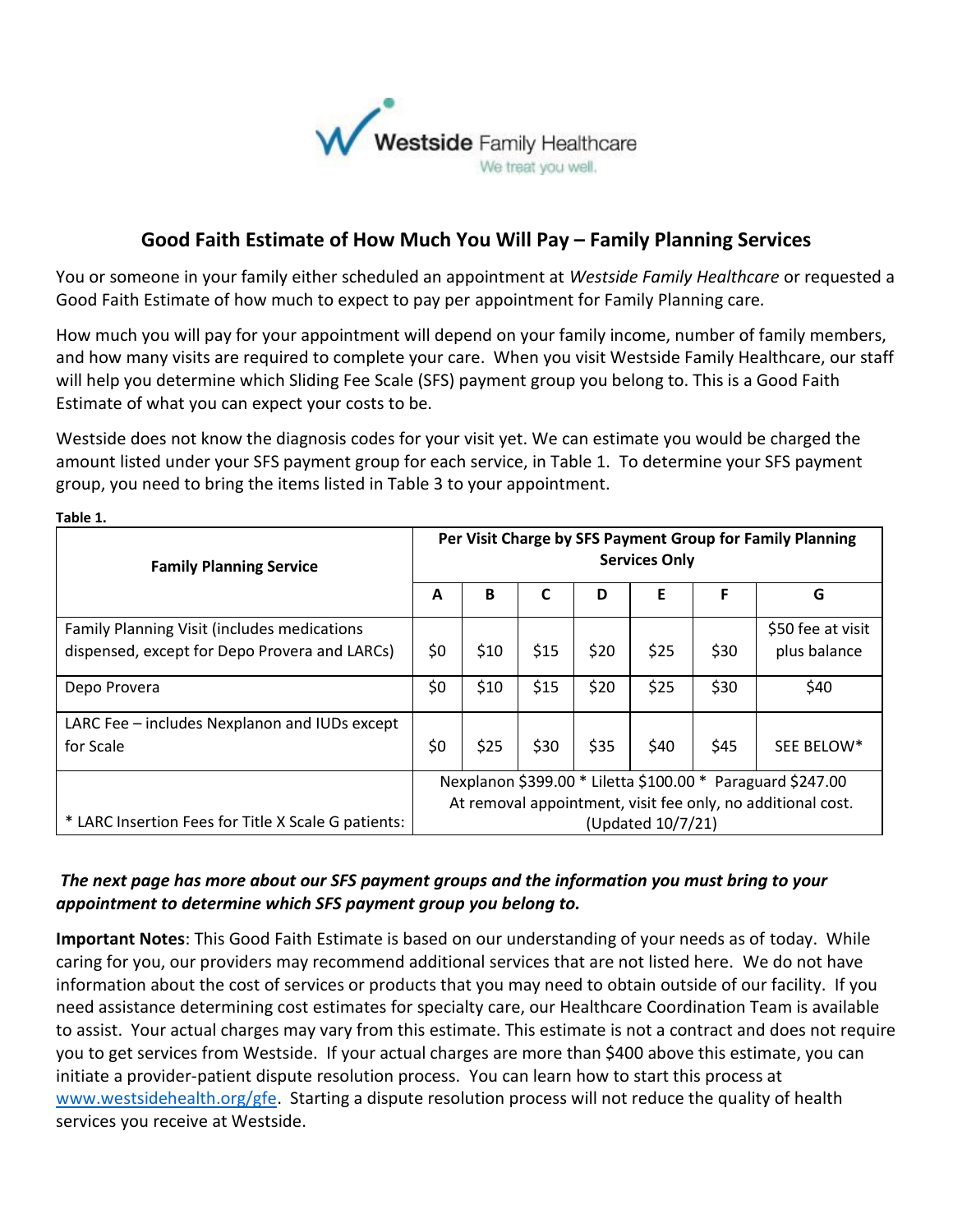

## **Good Faith Estimate of How Much You Will Pay – Family Planning Services**

You or someone in your family either scheduled an appointment at *Westside Family Healthcare* or requested a Good Faith Estimate of how much to expect to pay per appointment for Family Planning care*.*

How much you will pay for your appointment will depend on your family income, number of family members, and how many visits are required to complete your care. When you visit Westside Family Healthcare, our staff will help you determine which Sliding Fee Scale (SFS) payment group you belong to. This is a Good Faith Estimate of what you can expect your costs to be.

Westside does not know the diagnosis codes for your visit yet. We can estimate you would be charged the amount listed under your SFS payment group for each service, in Table 1. To determine your SFS payment group, you need to bring the items listed in Table 3 to your appointment.

| <b>Family Planning Service</b>                      |                                                             | Per Visit Charge by SFS Payment Group for Family Planning<br><b>Services Only</b> |      |      |      |      |                   |  |
|-----------------------------------------------------|-------------------------------------------------------------|-----------------------------------------------------------------------------------|------|------|------|------|-------------------|--|
|                                                     |                                                             | B                                                                                 | C    | D    | Е    | F    | G                 |  |
| Family Planning Visit (includes medications         |                                                             |                                                                                   |      |      |      |      | \$50 fee at visit |  |
| dispensed, except for Depo Provera and LARCs)       | \$0                                                         | \$10                                                                              | \$15 | \$20 | \$25 | \$30 | plus balance      |  |
| Depo Provera                                        | \$0                                                         | \$10                                                                              | \$15 | \$20 | \$25 | \$30 | \$40              |  |
| LARC Fee - includes Nexplanon and IUDs except       |                                                             |                                                                                   |      |      |      |      |                   |  |
| for Scale                                           | \$0                                                         | \$25                                                                              | \$30 | \$35 | \$40 | \$45 | SEE BELOW*        |  |
|                                                     | Nexplanon \$399.00 * Liletta \$100.00 * Paraguard \$247.00  |                                                                                   |      |      |      |      |                   |  |
|                                                     | At removal appointment, visit fee only, no additional cost. |                                                                                   |      |      |      |      |                   |  |
| * LARC Insertion Fees for Title X Scale G patients: |                                                             | (Updated 10/7/21)                                                                 |      |      |      |      |                   |  |

**Table 1.**

## *The next page has more about our SFS payment groups and the information you must bring to your appointment to determine which SFS payment group you belong to.*

**Important Notes**: This Good Faith Estimate is based on our understanding of your needs as of today. While caring for you, our providers may recommend additional services that are not listed here. We do not have information about the cost of services or products that you may need to obtain outside of our facility. If you need assistance determining cost estimates for specialty care, our Healthcare Coordination Team is available to assist. Your actual charges may vary from this estimate. This estimate is not a contract and does not require you to get services from Westside. If your actual charges are more than \$400 above this estimate, you can initiate a provider-patient dispute resolution process. You can learn how to start this process at www.westsidehealth.org/gfe. Starting a dispute resolution process will not reduce the quality of health services you receive at Westside.